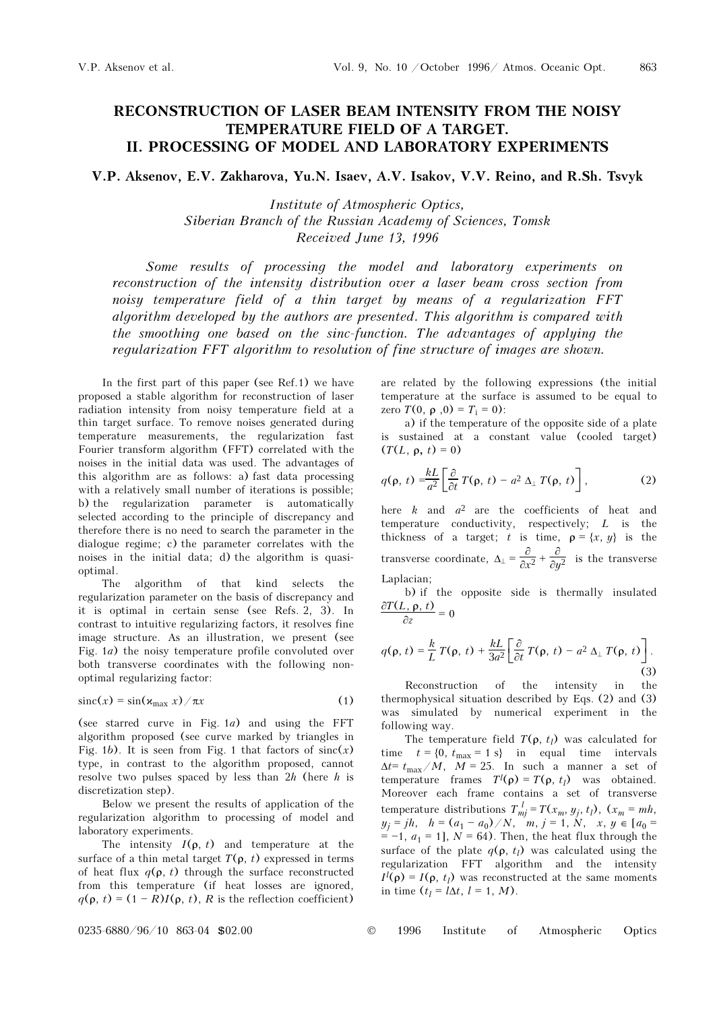## RECONSTRUCTION OF LASER BEAM INTENSITY FROM THE NOISY TEMPERATURE FIELD OF A TARGET. II. PROCESSING OF MODEL AND LABORATORY EXPERIMENTS

V.P. Aksenov, E.V. Zakharova, Yu.N. Isaev, A.V. Isakov, V.V. Reino, and R.Sh. Tsvyk

Institute of Atmospheric Optics, Siberian Branch of the Russian Academy of Sciences, Tomsk Received June 13, 1996

Some results of processing the model and laboratory experiments on reconstruction of the intensity distribution over a laser beam cross section from noisy temperature field of a thin target by means of a regularization FFT algorithm developed by the authors are presented. This algorithm is compared with the smoothing one based on the sinc-function. The advantages of applying the regularization FFT algorithm to resolution of fine structure of images are shown.

In the first part of this paper (see Ref.1) we have proposed a stable algorithm for reconstruction of laser radiation intensity from noisy temperature field at a thin target surface. To remove noises generated during temperature measurements, the regularization fast Fourier transform algorithm (FFT) correlated with the noises in the initial data was used. The advantages of this algorithm are as follows: a) fast data processing with a relatively small number of iterations is possible; b) the regularization parameter is automatically selected according to the principle of discrepancy and therefore there is no need to search the parameter in the dialogue regime; c) the parameter correlates with the noises in the initial data; d) the algorithm is quasioptimal.

The algorithm of that kind selects the regularization parameter on the basis of discrepancy and it is optimal in certain sense (see Refs. 2, 3). In contrast to intuitive regularizing factors, it resolves fine image structure. As an illustration, we present (see Fig. 1a) the noisy temperature profile convoluted over both transverse coordinates with the following nonoptimal regularizing factor:

$$
\operatorname{sinc}(x) = \sin(\varkappa_{\max} x) / \pi x \tag{1}
$$

(see starred curve in Fig. 1a) and using the FFT algorithm proposed (see curve marked by triangles in Fig. 1b). It is seen from Fig. 1 that factors of  $sinc(x)$ type, in contrast to the algorithm proposed, cannot resolve two pulses spaced by less than  $2h$  (here h is discretization step).

Below we present the results of application of the regularization algorithm to processing of model and laboratory experiments.

The intensity  $I(\rho, t)$  and temperature at the surface of a thin metal target  $T(\rho, t)$  expressed in terms of heat flux  $q(\rho, t)$  through the surface reconstructed from this temperature (if heat losses are ignored,  $q(\rho, t) = (1 - R)I(\rho, t)$ , R is the reflection coefficient)

are related by the following expressions (the initial temperature at the surface is assumed to be equal to zero *T*(0, ρ, 0) =  $T_i$  = 0):

a) if the temperature of the opposite side of a plate is sustained at a constant value (cooled target)  $(T(L, \rho, t) = 0)$ 

$$
q(\mathbf{p},\,t)=\frac{k}{a^2}\bigg[\frac{\partial}{\partial t}\,T(\mathbf{p},\,t)-a^2\,\Delta_\perp\,T(\mathbf{p},\,t)\bigg],\qquad \qquad (2)
$$

here  $k$  and  $a^2$  are the coefficients of heat and temperature conductivity, respectively;  $L$  is the thickness of a target; t is time,  $\rho = \{x, y\}$  is the transverse coordinate,  $\Delta_{\perp} = \frac{\partial}{\partial x^2} + \frac{\partial}{\partial y^2}$  is the transverse Laplacian;

b) if the opposite side is thermally insulated  $\frac{\partial T(L, \rho, t)}{\partial z} = 0$ 

$$
q(\mathbf{p},t) = \frac{k}{L} T(\mathbf{p},t) + \frac{kL}{3a^2} \left[ \frac{\partial}{\partial t} T(\mathbf{p},t) - a^2 \Delta_\perp T(\mathbf{p},t) \right].
$$
\n(3)

Reconstruction of the intensity in the thermophysical situation described by Eqs. (2) and (3) was simulated by numerical experiment in the following way.

The temperature field  $T(\rho, t_i)$  was calculated for time  $t = \{0, t_{\text{max}} = 1 \text{ s}\}\$  in equal time intervals  $\Delta t = t_{\text{max}}/M$ ,  $M = 25$ . In such a manner a set of temperature frames  $T^l(\rho) = T(\rho, t_l)$  was obtained. Moreover each frame contains a set of transverse temperature distributions  $T_{mj}^{\ l} = T(x_m, y_j, t_l)$ ,  $(x_m = mh,$  $y_j = jh$ ,  $h = (a_1 - a_0)/N$ ,  $m$ ,  $j = 1, N$ ,  $x, y \in [a_0 =$  $= -1$ ,  $a_1 = 1$ ],  $N = 64$ ). Then, the heat flux through the surface of the plate  $q(\rho, t_l)$  was calculated using the regularization FFT algorithm and the intensity  $I^l(\rho) = I(\rho, t_l)$  was reconstructed at the same moments in time  $(t_l = l\Delta t, l = 1, M)$ .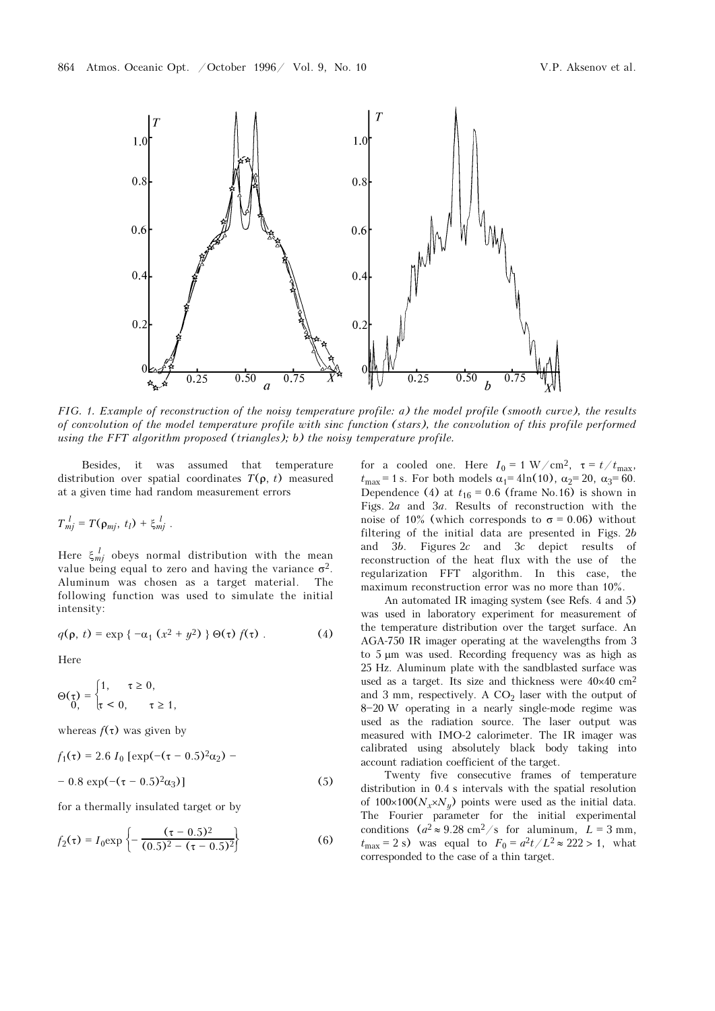

FIG. 1. Example of reconstruction of the noisy temperature profile: a) the model profile (smooth curve), the results of convolution of the model temperature profile with sinc function (stars), the convolution of this profile performed using the FFT algorithm proposed (triangles); b) the noisy temperature profile.

Besides, it was assumed that temperature distribution over spatial coordinates  $T(\rho, t)$  measured at a given time had random measurement errors

 $T_{mj}^l = T(\rho_{mj}, t_l) + \xi_{mj}^l$ .

Here  $\xi_{mj}^{l}$  obeys normal distribution with the mean value being equal to zero and having the variance  $\sigma^2$ . Aluminum was chosen as a target material. The following function was used to simulate the initial intensity:

$$
q(\rho, t) = \exp\left\{-\alpha_1\left(x^2 + y^2\right)\right\} \Theta(\tau) f(\tau) \tag{4}
$$

Here

$$
\Theta(\tau) = \begin{cases} 1, & \tau \ge 0, \\ \tau < 0, \end{cases} \quad \tau \ge 1,
$$

whereas  $f(\tau)$  was given by

$$
f_1(\tau) = 2.6 I_0 \left[ \exp(-(\tau - 0.5)^2 \alpha_2) - 0.8 \exp(-(\tau - 0.5)^2 \alpha_3) \right]
$$
 (5)

for a thermally insulated target or by

$$
f_2(\tau) = I_0 \exp\left\{-\frac{(\tau - 0.5)^2}{(0.5)^2 - (\tau - 0.5)^2}\right\}
$$
 (6)

for a cooled one. Here  $I_0 = 1 \text{ W/cm}^2$ ,  $\tau = t/t_{\text{max}}$ ,  $t_{\text{max}} = 1$  s. For both models  $\alpha_1 = 4\ln(10)$ ,  $\alpha_2 = 20$ ,  $\alpha_3 = 60$ . Dependence (4) at  $t_{16} = 0.6$  (frame No.16) is shown in Figs. 2a and 3a. Results of reconstruction with the noise of 10% (which corresponds to  $\sigma = 0.06$ ) without filtering of the initial data are presented in Figs. 2b and 3b. Figures 2c and 3c depict results of reconstruction of the heat flux with the use of the regularization FFT algorithm. In this case, the maximum reconstruction error was no more than 10%.

An automated IR imaging system (see Refs. 4 and 5) was used in laboratory experiment for measurement of the temperature distribution over the target surface. An AGA-750 IR imager operating at the wavelengths from 3 to 5 μm was used. Recording frequency was as high as 25 Hz. Aluminum plate with the sandblasted surface was used as a target. Its size and thickness were  $40\times40$  cm<sup>2</sup> and 3 mm, respectively. A  $CO<sub>2</sub>$  laser with the output of 8-20 W operating in a nearly single-mode regime was used as the radiation source. The laser output was measured with IMO-2 calorimeter. The IR imager was calibrated using absolutely black body taking into account radiation coefficient of the target.

Twenty five consecutive frames of temperature distribution in 0.4 s intervals with the spatial resolution of  $100\times100(N_x\times N_y)$  points were used as the initial data. The Fourier parameter for the initial experimental conditions  $(a^2 \approx 9.28 \text{ cm}^2/\text{s}$  for aluminum,  $L = 3 \text{ mm}$ ,  $t_{\text{max}} = 2$  s) was equal to  $F_0 = a^2t/L^2 \approx 222 > 1$ , what corresponded to the case of a thin target.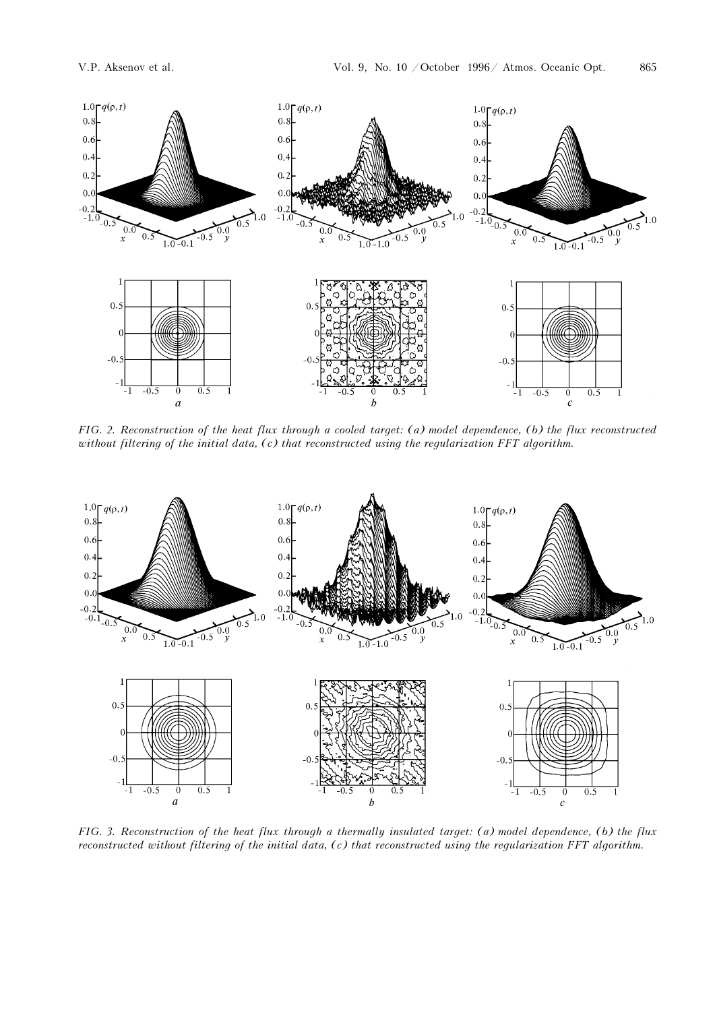

FIG. 2. Reconstruction of the heat flux through a cooled target: (a) model dependence, (b) the flux reconstructed without filtering of the initial data, (c) that reconstructed using the regularization FFT algorithm.



FIG. 3. Reconstruction of the heat flux through a thermally insulated target: (a) model dependence, (b) the flux reconstructed without filtering of the initial data, (c) that reconstructed using the regularization FFT algorithm.